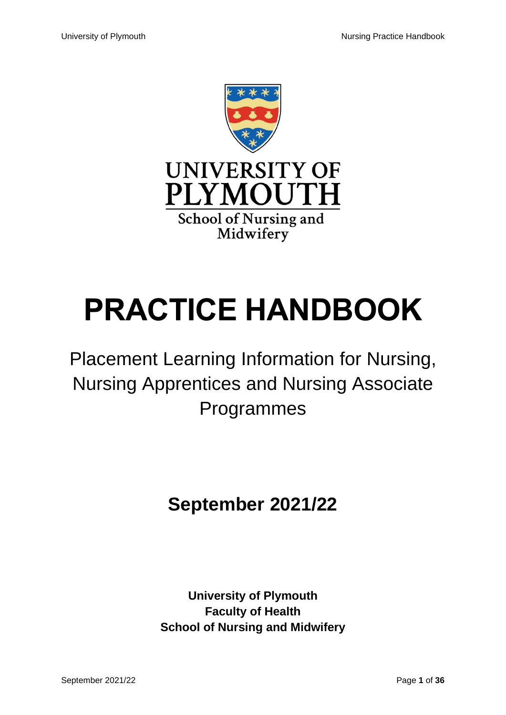

# **PRACTICE HANDBOOK**

# Placement Learning Information for Nursing, Nursing Apprentices and Nursing Associate Programmes

## **September 2021/22**

**University of Plymouth Faculty of Health School of Nursing and Midwifery**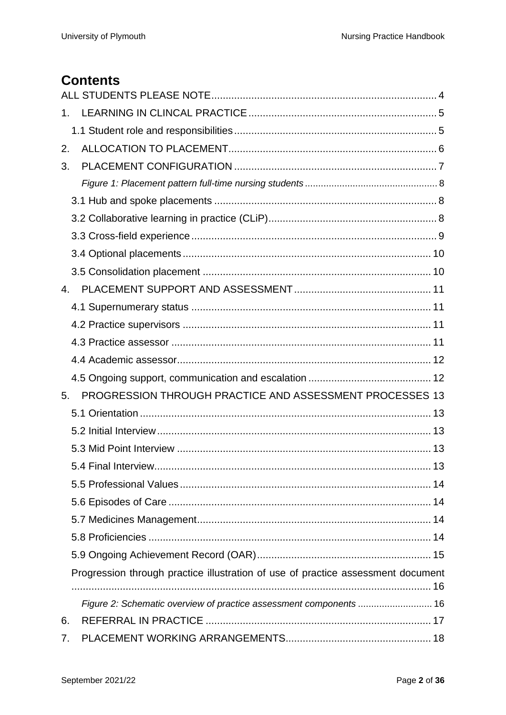## **Contents**

| 1.          |                                                                                  |
|-------------|----------------------------------------------------------------------------------|
|             |                                                                                  |
| 2.          |                                                                                  |
| 3.          |                                                                                  |
|             |                                                                                  |
|             |                                                                                  |
|             |                                                                                  |
|             |                                                                                  |
|             |                                                                                  |
|             |                                                                                  |
| $4_{\cdot}$ |                                                                                  |
|             |                                                                                  |
|             |                                                                                  |
|             |                                                                                  |
|             |                                                                                  |
|             |                                                                                  |
| 5.          | PROGRESSION THROUGH PRACTICE AND ASSESSMENT PROCESSES 13                         |
|             |                                                                                  |
|             |                                                                                  |
|             |                                                                                  |
|             | 5.4 Final Interview<br>13                                                        |
|             |                                                                                  |
|             |                                                                                  |
|             |                                                                                  |
|             |                                                                                  |
|             |                                                                                  |
|             | Progression through practice illustration of use of practice assessment document |
|             | Figure 2: Schematic overview of practice assessment components  16               |
| 6.          |                                                                                  |
| 7.          |                                                                                  |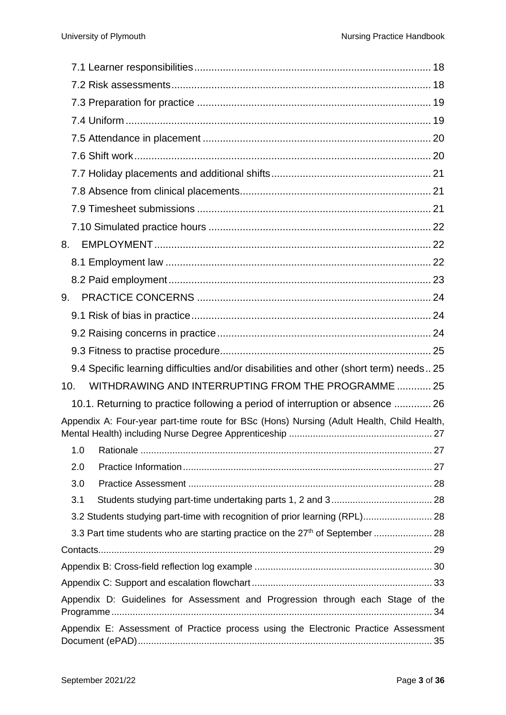| 8.  |                                                                                           |  |
|-----|-------------------------------------------------------------------------------------------|--|
|     |                                                                                           |  |
|     |                                                                                           |  |
| 9.  |                                                                                           |  |
|     |                                                                                           |  |
|     |                                                                                           |  |
|     |                                                                                           |  |
|     | 9.4 Specific learning difficulties and/or disabilities and other (short term) needs 25    |  |
| 10. | WITHDRAWING AND INTERRUPTING FROM THE PROGRAMME  25                                       |  |
|     | 10.1. Returning to practice following a period of interruption or absence  26             |  |
|     | Appendix A: Four-year part-time route for BSc (Hons) Nursing (Adult Health, Child Health, |  |
| 1.0 |                                                                                           |  |
| 2.0 |                                                                                           |  |
| 3.0 |                                                                                           |  |
| 3.1 |                                                                                           |  |
|     | 3.2 Students studying part-time with recognition of prior learning (RPL) 28               |  |
|     |                                                                                           |  |
|     |                                                                                           |  |
|     |                                                                                           |  |
|     |                                                                                           |  |
|     | Appendix D: Guidelines for Assessment and Progression through each Stage of the           |  |
|     | Appendix E: Assessment of Practice process using the Electronic Practice Assessment       |  |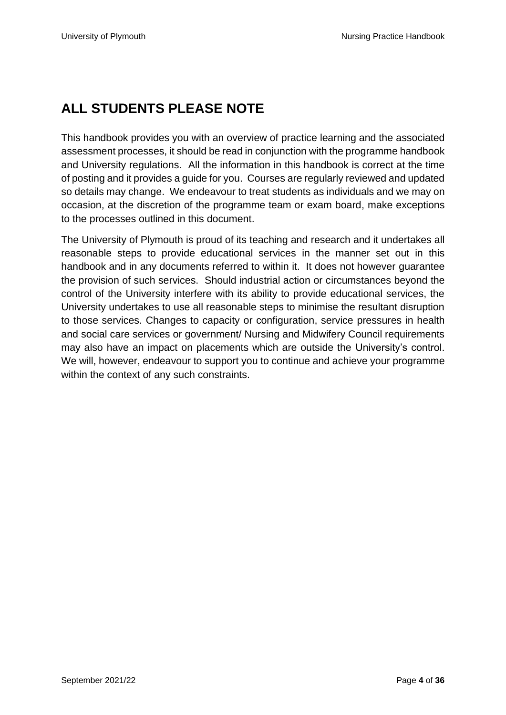## <span id="page-3-0"></span>**ALL STUDENTS PLEASE NOTE**

This handbook provides you with an overview of practice learning and the associated assessment processes, it should be read in conjunction with the programme handbook and University regulations. All the information in this handbook is correct at the time of posting and it provides a guide for you. Courses are regularly reviewed and updated so details may change. We endeavour to treat students as individuals and we may on occasion, at the discretion of the programme team or exam board, make exceptions to the processes outlined in this document.

The University of Plymouth is proud of its teaching and research and it undertakes all reasonable steps to provide educational services in the manner set out in this handbook and in any documents referred to within it. It does not however guarantee the provision of such services. Should industrial action or circumstances beyond the control of the University interfere with its ability to provide educational services, the University undertakes to use all reasonable steps to minimise the resultant disruption to those services. Changes to capacity or configuration, service pressures in health and social care services or government/ Nursing and Midwifery Council requirements may also have an impact on placements which are outside the University's control. We will, however, endeavour to support you to continue and achieve your programme within the context of any such constraints.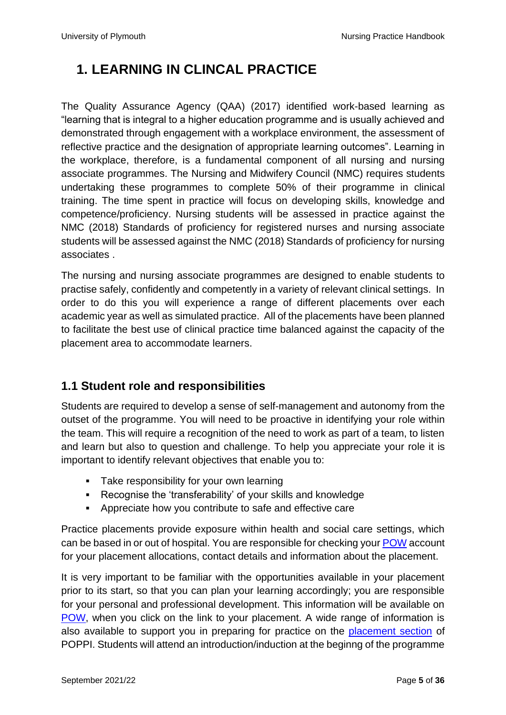## <span id="page-4-0"></span>**1. LEARNING IN CLINCAL PRACTICE**

The Quality Assurance Agency [\(QAA\)](https://www.qaa.ac.uk/) (2017) identified work-based learning as "learning that is integral to a higher education programme and is usually achieved and demonstrated through engagement with a workplace environment, the assessment of reflective practice and the designation of appropriate learning outcomes". Learning in the workplace, therefore, is a fundamental component of all nursing and nursing associate programmes. The Nursing and Midwifery Council (NMC) requires students undertaking these programmes to complete 50% of their programme in clinical training. The time spent in practice will focus on developing skills, knowledge and competence/proficiency. Nursing students will be assessed in practice against the [NMC \(2018\) Standards of proficiency for registered nurses](https://www.nmc.org.uk/globalassets/sitedocuments/standards-of-proficiency/nurses/future-nurse-proficiencies.pdf) and nursing associate students will be assessed against the [NMC \(2018\) Standards of proficiency for nursing](https://www.nmc.org.uk/globalassets/sitedocuments/standards-of-proficiency/nursing-associates/nursing-associates-proficiency-standards.pdf)  [associates](https://www.nmc.org.uk/globalassets/sitedocuments/standards-of-proficiency/nursing-associates/nursing-associates-proficiency-standards.pdf) .

The nursing and nursing associate programmes are designed to enable students to practise safely, confidently and competently in a variety of relevant clinical settings. In order to do this you will experience a range of different placements over each academic year as well as simulated practice. All of the placements have been planned to facilitate the best use of clinical practice time balanced against the capacity of the placement area to accommodate learners.

#### <span id="page-4-1"></span>**1.1 Student role and responsibilities**

Students are required to develop a sense of self-management and autonomy from the outset of the programme. You will need to be proactive in identifying your role within the team. This will require a recognition of the need to work as part of a team, to listen and learn but also to question and challenge. To help you appreciate your role it is important to identify relevant objectives that enable you to:

- **Take responsibility for your own learning**
- Recognise the 'transferability' of your skills and knowledge
- Appreciate how you contribute to safe and effective care

Practice placements provide exposure within health and social care settings, which can be based in or out of hospital. You are responsible for checking your [POW](https://www.plymouth.ac.uk/student-life/your-studies/academic-services/poppi/students/pow) account for your placement allocations, contact details and information about the placement.

It is very important to be familiar with the opportunities available in your placement prior to its start, so that you can plan your learning accordingly; you are responsible for your personal and professional development. This information will be available on [POW,](https://www.plymouth.ac.uk/student-life/your-studies/academic-services/poppi/students/pow) when you click on the link to your placement. A wide range of information is also available to support you in preparing for practice on the [placement section](https://www.plymouth.ac.uk/student-life/your-studies/academic-services/poppi/students/nursing-midwifery) of POPPI. Students will attend an introduction/induction at the beginng of the programme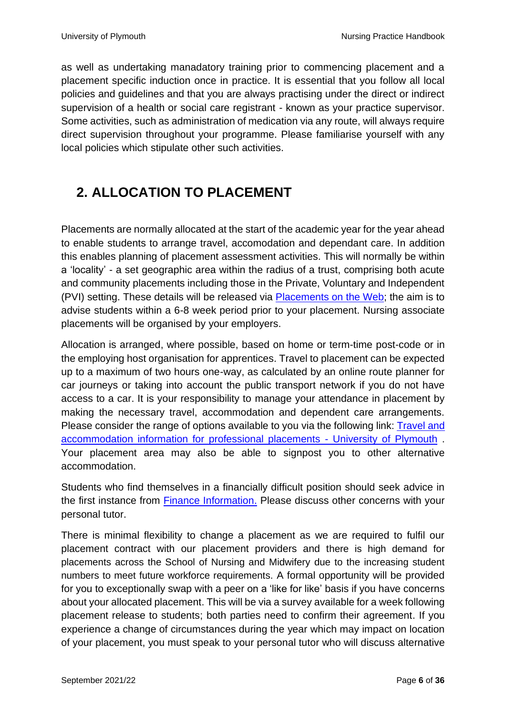as well as undertaking manadatory training prior to commencing placement and a placement specific induction once in practice. It is essential that you follow all local policies and guidelines and that you are always practising under the direct or indirect supervision of a health or social care registrant - known as your practice supervisor. Some activities, such as administration of medication via any route, will always require direct supervision throughout your programme. Please familiarise yourself with any local policies which stipulate other such activities.

## <span id="page-5-0"></span>**2. ALLOCATION TO PLACEMENT**

Placements are normally allocated at the start of the academic year for the year ahead to enable students to arrange travel, accomodation and dependant care. In addition this enables planning of placement assessment activities. This will normally be within a 'locality' - a set geographic area within the radius of a trust, comprising both acute and community placements including those in the Private, Voluntary and Independent (PVI) setting. These details will be released via [Placements on the Web;](https://www.plymouth.ac.uk/student-life/your-studies/academic-services/poppi/students/pow) the aim is to advise students within a 6-8 week period prior to your placement. Nursing associate placements will be organised by your employers.

Allocation is arranged, where possible, based on home or term-time post-code or in the employing host organisation for apprentices. Travel to placement can be expected up to a maximum of two hours one-way, as calculated by an online route planner for car journeys or taking into account the public transport network if you do not have access to a car. It is your responsibility to manage your attendance in placement by making the necessary travel, accommodation and dependent care arrangements. Please consider the range of options available to you via the following link: [Travel and](https://www.plymouth.ac.uk/student-life/your-studies/academic-services/poppi/students/travel-and-accommodation)  [accommodation information for professional placements -](https://www.plymouth.ac.uk/student-life/your-studies/academic-services/poppi/students/travel-and-accommodation) University of Plymouth . Your placement area may also be able to signpost you to other alternative accommodation.

Students who find themselves in a financially difficult position should seek advice in the first instance from [Finance Information.](https://www.plymouth.ac.uk/study/fees/scholarships-bursaries-and-funding/funding/undergraduates) Please discuss other concerns with your personal tutor.

There is minimal flexibility to change a placement as we are required to fulfil our placement contract with our placement providers and there is high demand for placements across the School of Nursing and Midwifery due to the increasing student numbers to meet future workforce requirements. A formal opportunity will be provided for you to exceptionally swap with a peer on a 'like for like' basis if you have concerns about your allocated placement. This will be via a survey available for a week following placement release to students; both parties need to confirm their agreement. If you experience a change of circumstances during the year which may impact on location of your placement, you must speak to your personal tutor who will discuss alternative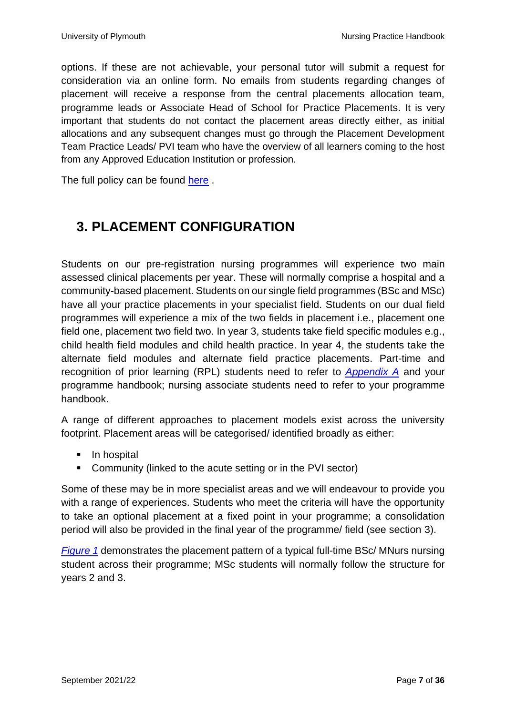options. If these are not achievable, your personal tutor will submit a request for consideration via an online form. No emails from students regarding changes of placement will receive a response from the central placements allocation team, programme leads or Associate Head of School for Practice Placements. It is very important that students do not contact the placement areas directly either, as initial allocations and any subsequent changes must go through the Placement Development Team Practice Leads/ PVI team who have the overview of all learners coming to the host from any Approved Education Institution or profession.

The full policy can be found [here](https://www.plymouth.ac.uk/student-life/your-studies/academic-services/poppi/policies-procedures-and-guidelines) .

## <span id="page-6-0"></span>**3. PLACEMENT CONFIGURATION**

Students on our pre-registration nursing programmes will experience two main assessed clinical placements per year. These will normally comprise a hospital and a community-based placement. Students on our single field programmes (BSc and MSc) have all your practice placements in your specialist field. Students on our dual field programmes will experience a mix of the two fields in placement i.e., placement one field one, placement two field two. In year 3, students take field specific modules e.g., child health field modules and child health practice. In year 4, the students take the alternate field modules and alternate field practice placements. Part-time and recognition of prior learning (RPL) students need to refer to *[Appendix A](#page-26-0)* and your programme handbook; nursing associate students need to refer to your programme handbook.

A range of different approaches to placement models exist across the university footprint. Placement areas will be categorised/ identified broadly as either:

- In hospital
- Community (linked to the acute setting or in the PVI sector)

Some of these may be in more specialist areas and we will endeavour to provide you with a range of experiences. Students who meet the criteria will have the opportunity to take an optional placement at a fixed point in your programme; a consolidation period will also be provided in the final year of the programme/ field (see section 3).

*[Figure 1](#page-7-0)* demonstrates the placement pattern of a typical full-time BSc/ MNurs nursing student across their programme; MSc students will normally follow the structure for years 2 and 3.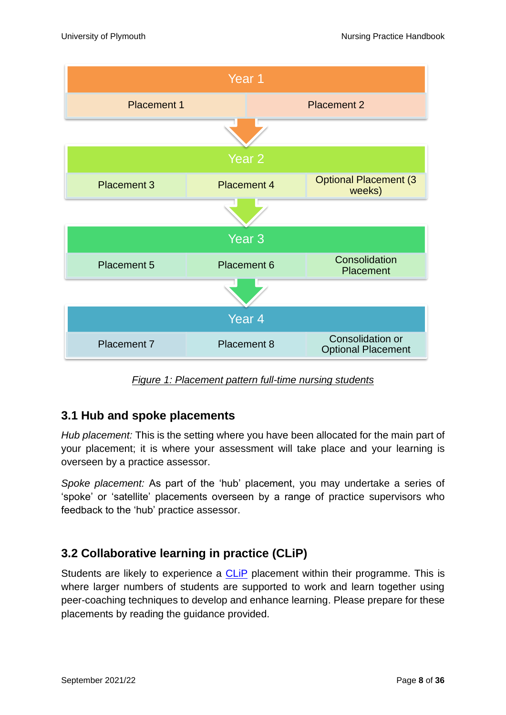

*Figure 1: Placement pattern full-time nursing students*

#### <span id="page-7-1"></span><span id="page-7-0"></span>**3.1 Hub and spoke placements**

*Hub placement:* This is the setting where you have been allocated for the main part of your placement; it is where your assessment will take place and your learning is overseen by a practice assessor.

*Spoke placement:* As part of the 'hub' placement, you may undertake a series of 'spoke' or 'satellite' placements overseen by a range of practice supervisors who feedback to the 'hub' practice assessor.

#### <span id="page-7-2"></span>**3.2 Collaborative learning in practice (CLiP)**

Students are likely to experience a CLIP placement within their programme. This is where larger numbers of students are supported to work and learn together using peer-coaching techniques to develop and enhance learning. Please prepare for these placements by reading the guidance provided.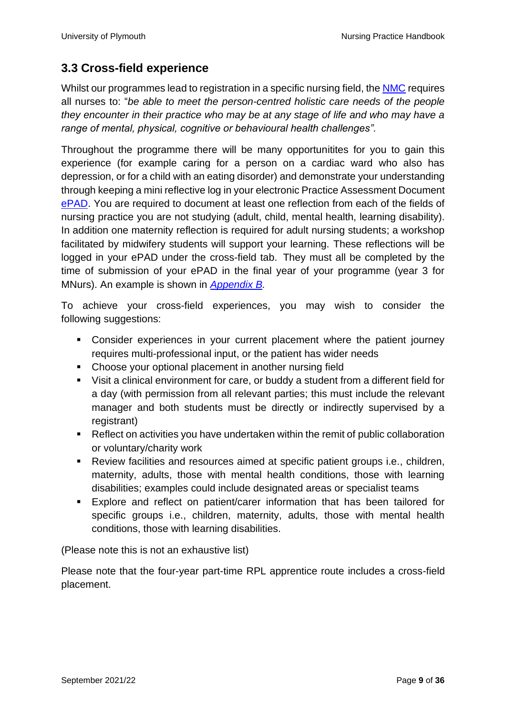#### <span id="page-8-0"></span>**3.3 Cross-field experience**

Whilst our programmes lead to registration in a specific nursing field, the [NMC](https://www.nmc.org.uk/standards/standards-for-nurses/standards-for-pre-registration-nursing-programmes/) requires all nurses to: "*be able to meet the person-centred holistic care needs of the people they encounter in their practice who may be at any stage of life and who may have a range of mental, physical, cognitive or behavioural health challenges".*

Throughout the programme there will be many opportunitites for you to gain this experience (for example caring for a person on a cardiac ward who also has depression, or for a child with an eating disorder) and demonstrate your understanding through keeping a mini reflective log in your electronic Practice Assessment Document [ePAD.](https://www.plymouth.ac.uk/student-life/your-studies/academic-services/poppi/epad) You are required to document at least one reflection from each of the fields of nursing practice you are not studying (adult, child, mental health, learning disability). In addition one maternity reflection is required for adult nursing students; a workshop facilitated by midwifery students will support your learning. These reflections will be logged in your ePAD under the cross-field tab. They must all be completed by the time of submission of your ePAD in the final year of your programme (year 3 for MNurs). An example is shown in *[Appendix](#page-29-0) B.*

To achieve your cross-field experiences, you may wish to consider the following suggestions:

- Consider experiences in your current placement where the patient journey requires multi-professional input, or the patient has wider needs
- Choose your optional placement in another nursing field
- Visit a clinical environment for care, or buddy a student from a different field for a day (with permission from all relevant parties; this must include the relevant manager and both students must be directly or indirectly supervised by a registrant)
- Reflect on activities you have undertaken within the remit of public collaboration or voluntary/charity work
- Review facilities and resources aimed at specific patient groups i.e., children, maternity, adults, those with mental health conditions, those with learning disabilities; examples could include designated areas or specialist teams
- Explore and reflect on patient/carer information that has been tailored for specific groups i.e., children, maternity, adults, those with mental health conditions, those with learning disabilities.

(Please note this is not an exhaustive list)

Please note that the four-year part-time RPL apprentice route includes a cross-field placement.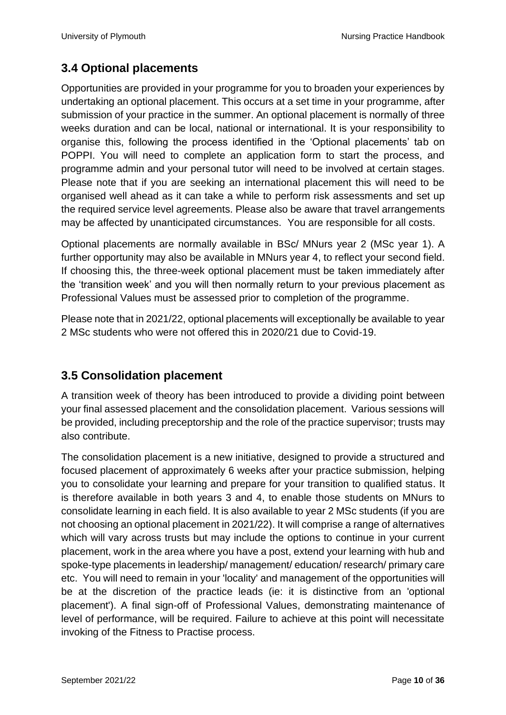#### <span id="page-9-0"></span>**3.4 Optional placements**

Opportunities are provided in your programme for you to broaden your experiences by undertaking an optional placement. This occurs at a set time in your programme, after submission of your practice in the summer. An optional placement is normally of three weeks duration and can be local, national or international. It is your responsibility to organise this, following the process identified in the 'Optional placements' tab on POPPI. You will need to complete an application form to start the process, and programme admin and your personal tutor will need to be involved at certain stages. Please note that if you are seeking an international placement this will need to be organised well ahead as it can take a while to perform risk assessments and set up the required service level agreements. Please also be aware that travel arrangements may be affected by unanticipated circumstances. You are responsible for all costs.

Optional placements are normally available in BSc/ MNurs year 2 (MSc year 1). A further opportunity may also be available in MNurs year 4, to reflect your second field. If choosing this, the three-week optional placement must be taken immediately after the 'transition week' and you will then normally return to your previous placement as Professional Values must be assessed prior to completion of the programme.

Please note that in 2021/22, optional placements will exceptionally be available to year 2 MSc students who were not offered this in 2020/21 due to Covid-19.

#### <span id="page-9-1"></span>**3.5 Consolidation placement**

A transition week of theory has been introduced to provide a dividing point between your final assessed placement and the consolidation placement. Various sessions will be provided, including preceptorship and the role of the practice supervisor; trusts may also contribute.

The consolidation placement is a new initiative, designed to provide a structured and focused placement of approximately 6 weeks after your practice submission, helping you to consolidate your learning and prepare for your transition to qualified status. It is therefore available in both years 3 and 4, to enable those students on MNurs to consolidate learning in each field. It is also available to year 2 MSc students (if you are not choosing an optional placement in 2021/22). It will comprise a range of alternatives which will vary across trusts but may include the options to continue in your current placement, work in the area where you have a post, extend your learning with hub and spoke-type placements in leadership/ management/ education/ research/ primary care etc. You will need to remain in your 'locality' and management of the opportunities will be at the discretion of the practice leads (ie: it is distinctive from an 'optional placement'). A final sign-off of Professional Values, demonstrating maintenance of level of performance, will be required. Failure to achieve at this point will necessitate invoking of the Fitness to Practise process.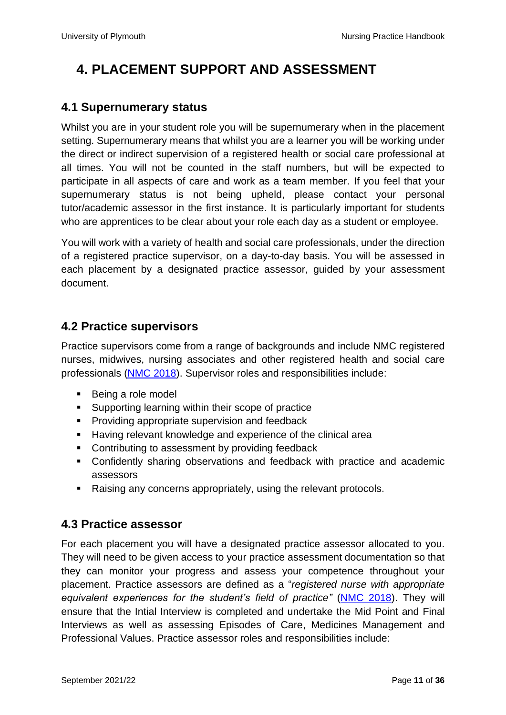## <span id="page-10-0"></span>**4. PLACEMENT SUPPORT AND ASSESSMENT**

#### <span id="page-10-1"></span>**4.1 Supernumerary status**

Whilst you are in your student role you will be supernumerary when in the placement setting. Supernumerary means that whilst you are a learner you will be working under the direct or indirect supervision of a registered health or social care professional at all times. You will not be counted in the staff numbers, but will be expected to participate in all aspects of care and work as a team member. If you feel that your supernumerary status is not being upheld, please contact your personal tutor/academic assessor in the first instance. It is particularly important for students who are apprentices to be clear about your role each day as a student or employee.

You will work with a variety of health and social care professionals, under the direction of a registered practice supervisor, on a day-to-day basis. You will be assessed in each placement by a designated practice assessor, guided by your assessment document.

#### <span id="page-10-2"></span>**4.2 Practice supervisors**

Practice supervisors come from a range of backgrounds and include NMC registered nurses, midwives, nursing associates and other registered health and social care professionals [\(NMC 2018\)](https://www.nmc.org.uk/standards-for-education-and-training/standards-for-student-supervision-and-assessment/). Supervisor roles and responsibilities include:

- Being a role model
- Supporting learning within their scope of practice
- Providing appropriate supervision and feedback
- Having relevant knowledge and experience of the clinical area
- Contributing to assessment by providing feedback
- Confidently sharing observations and feedback with practice and academic assessors
- Raising any concerns appropriately, using the relevant protocols.

#### <span id="page-10-3"></span>**4.3 Practice assessor**

For each placement you will have a designated practice assessor allocated to you. They will need to be given access to your practice assessment documentation so that they can monitor your progress and assess your competence throughout your placement. Practice assessors are defined as a "*registered nurse with appropriate equivalent experiences for the student's field of practice"* [\(NMC 2018\)](https://www.nmc.org.uk/standards-for-education-and-training/standards-for-student-supervision-and-assessment/). They will ensure that the Intial Interview is completed and undertake the Mid Point and Final Interviews as well as assessing Episodes of Care, Medicines Management and Professional Values. Practice assessor roles and responsibilities include: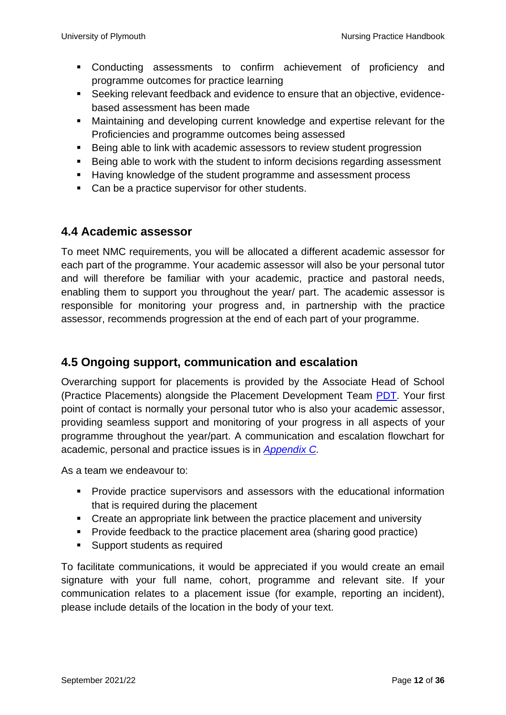- Conducting assessments to confirm achievement of proficiency and programme outcomes for practice learning
- Seeking relevant feedback and evidence to ensure that an objective, evidencebased assessment has been made
- Maintaining and developing current knowledge and expertise relevant for the Proficiencies and programme outcomes being assessed
- Being able to link with academic assessors to review student progression
- Being able to work with the student to inform decisions regarding assessment
- Having knowledge of the student programme and assessment process
- Can be a practice supervisor for other students.

#### <span id="page-11-0"></span>**4.4 Academic assessor**

To meet NMC requirements, you will be allocated a different academic assessor for each part of the programme. Your academic assessor will also be your personal tutor and will therefore be familiar with your academic, practice and pastoral needs, enabling them to support you throughout the year/ part. The academic assessor is responsible for monitoring your progress and, in partnership with the practice assessor, recommends progression at the end of each part of your programme.

#### <span id="page-11-1"></span>**4.5 Ongoing support, communication and escalation**

Overarching support for placements is provided by the Associate Head of School (Practice Placements) alongside the Placement Development Team [PDT.](https://www.plymouth.ac.uk/student-life/your-studies/academic-services/poppi/placement-providers/pdt) Your first point of contact is normally your personal tutor who is also your academic assessor, providing seamless support and monitoring of your progress in all aspects of your programme throughout the year/part. A communication and escalation flowchart for academic, personal and practice issues is in *[Appendix](#page-31-0) C.*

As a team we endeavour to:

- **•** Provide practice supervisors and assessors with the educational information that is required during the placement
- Create an appropriate link between the practice placement and university
- Provide feedback to the practice placement area (sharing good practice)
- Support students as required

To facilitate communications, it would be appreciated if you would create an email signature with your full name, cohort, programme and relevant site. If your communication relates to a placement issue (for example, reporting an incident), please include details of the location in the body of your text.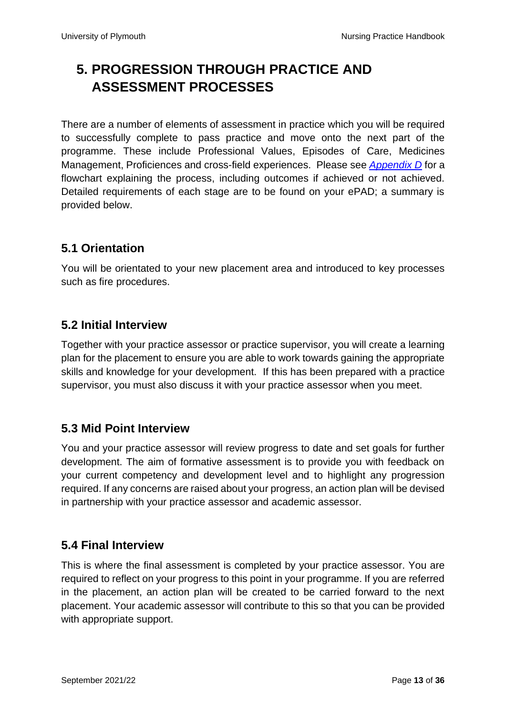## <span id="page-12-0"></span>**5. PROGRESSION THROUGH PRACTICE AND ASSESSMENT PROCESSES**

There are a number of elements of assessment in practice which you will be required to successfully complete to pass practice and move onto the next part of the programme. These include Professional Values, Episodes of Care, Medicines Management, Proficiences and cross-field experiences. Please see *[Appendix](#page-33-0) D* for a flowchart explaining the process, including outcomes if achieved or not achieved. Detailed requirements of each stage are to be found on your ePAD; a summary is provided below.

#### <span id="page-12-1"></span>**5.1 Orientation**

You will be orientated to your new placement area and introduced to key processes such as fire procedures.

#### <span id="page-12-2"></span>**5.2 Initial Interview**

Together with your practice assessor or practice supervisor, you will create a learning plan for the placement to ensure you are able to work towards gaining the appropriate skills and knowledge for your development. If this has been prepared with a practice supervisor, you must also discuss it with your practice assessor when you meet.

#### <span id="page-12-3"></span>**5.3 Mid Point Interview**

You and your practice assessor will review progress to date and set goals for further development. The aim of formative assessment is to provide you with feedback on your current competency and development level and to highlight any progression required. If any concerns are raised about your progress, an action plan will be devised in partnership with your practice assessor and academic assessor.

#### <span id="page-12-4"></span>**5.4 Final Interview**

This is where the final assessment is completed by your practice assessor. You are required to reflect on your progress to this point in your programme. If you are referred in the placement, an action plan will be created to be carried forward to the next placement. Your academic assessor will contribute to this so that you can be provided with appropriate support.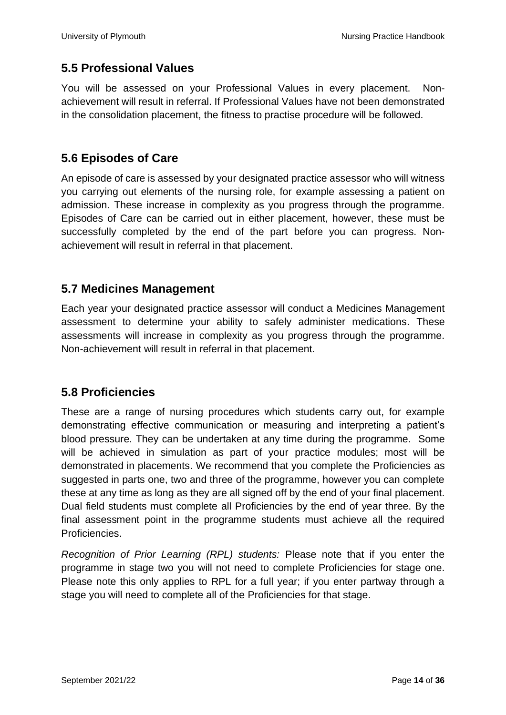#### <span id="page-13-0"></span>**5.5 Professional Values**

You will be assessed on your Professional Values in every placement. Nonachievement will result in referral. If Professional Values have not been demonstrated in the consolidation placement, the fitness to practise procedure will be followed.

#### <span id="page-13-1"></span>**5.6 Episodes of Care**

An episode of care is assessed by your designated practice assessor who will witness you carrying out elements of the nursing role, for example assessing a patient on admission. These increase in complexity as you progress through the programme. Episodes of Care can be carried out in either placement, however, these must be successfully completed by the end of the part before you can progress. Nonachievement will result in referral in that placement.

#### <span id="page-13-2"></span>**5.7 Medicines Management**

Each year your designated practice assessor will conduct a Medicines Management assessment to determine your ability to safely administer medications. These assessments will increase in complexity as you progress through the programme. Non-achievement will result in referral in that placement.

#### <span id="page-13-3"></span>**5.8 Proficiencies**

These are a range of nursing procedures which students carry out, for example demonstrating effective communication or measuring and interpreting a patient's blood pressure. They can be undertaken at any time during the programme. Some will be achieved in simulation as part of your practice modules; most will be demonstrated in placements. We recommend that you complete the Proficiencies as suggested in parts one, two and three of the programme, however you can complete these at any time as long as they are all signed off by the end of your final placement. Dual field students must complete all Proficiencies by the end of year three. By the final assessment point in the programme students must achieve all the required Proficiencies.

*Recognition of Prior Learning (RPL) students:* Please note that if you enter the programme in stage two you will not need to complete Proficiencies for stage one. Please note this only applies to RPL for a full year; if you enter partway through a stage you will need to complete all of the Proficiencies for that stage.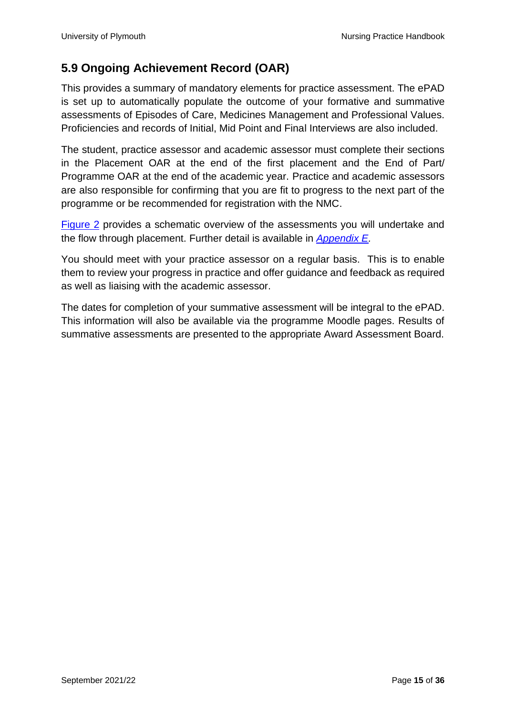#### <span id="page-14-0"></span>**5.9 Ongoing Achievement Record (OAR)**

This provides a summary of mandatory elements for practice assessment. The ePAD is set up to automatically populate the outcome of your formative and summative assessments of Episodes of Care, Medicines Management and Professional Values. Proficiencies and records of Initial, Mid Point and Final Interviews are also included.

The student, practice assessor and academic assessor must complete their sections in the Placement OAR at the end of the first placement and the End of Part/ Programme OAR at the end of the academic year. Practice and academic assessors are also responsible for confirming that you are fit to progress to the next part of the programme or be recommended for registration with the NMC.

[Figure 2](#page-15-2) provides a schematic overview of the assessments you will undertake and the flow through placement. Further detail is available in *[Appendix E.](#page-33-1)*

You should meet with your practice assessor on a regular basis. This is to enable them to review your progress in practice and offer guidance and feedback as required as well as liaising with the academic assessor.

The dates for completion of your summative assessment will be integral to the ePAD. This information will also be available via the programme Moodle pages. Results of summative assessments are presented to the appropriate Award Assessment Board.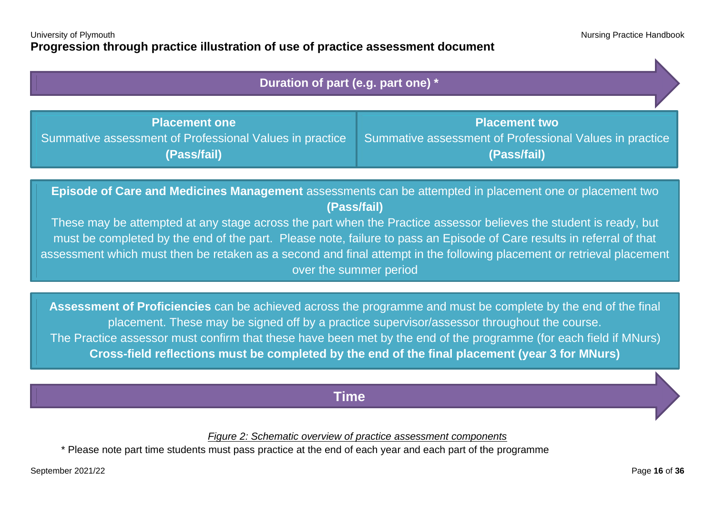$\mathbf{K}$ 

| Duration of part (e.g. part one) *                                                                                     |                                                                                                |  |  |  |  |
|------------------------------------------------------------------------------------------------------------------------|------------------------------------------------------------------------------------------------|--|--|--|--|
| <b>Placement one</b><br>Summative assessment of Professional Values in practice<br>(Pass/fail)                         | <b>Placement two</b><br>Summative assessment of Professional Values in practice<br>(Pass/fail) |  |  |  |  |
| Episode of Care and Medicines Management assessments can be attempted in placement one or placement two<br>(Pass/fail) |                                                                                                |  |  |  |  |

<span id="page-15-0"></span>These may be attempted at any stage across the part when the Practice assessor believes the student is ready, but must be completed by the end of the part. Please note, failure to pass an Episode of Care results in referral of that assessment which must then be retaken as a second and final attempt in the following placement or retrieval placement over the summer period

**Assessment of Proficiencies** can be achieved across the programme and must be complete by the end of the final placement. These may be signed off by a practice supervisor/assessor throughout the course. The Practice assessor must confirm that these have been met by the end of the programme (for each field if MNurs) **Cross-field reflections must be completed by the end of the final placement (year 3 for MNurs)**

#### **Time**

*Figure 2: Schematic overview of practice assessment components*

<span id="page-15-2"></span><span id="page-15-1"></span>\* Please note part time students must pass practice at the end of each year and each part of the programme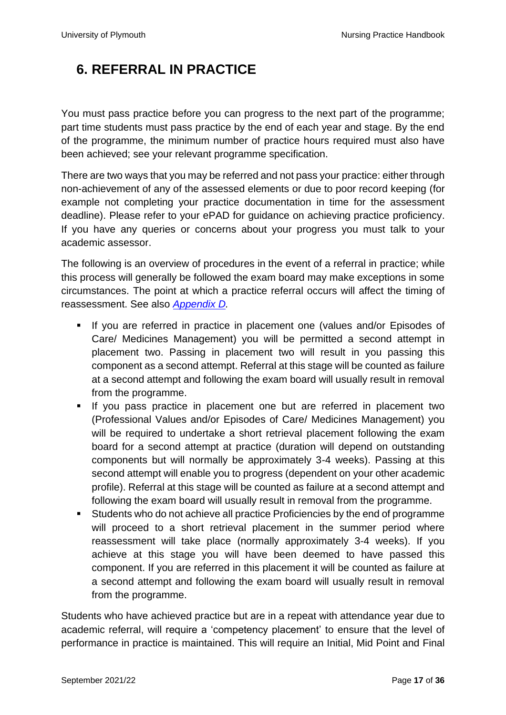## <span id="page-16-0"></span>**6. REFERRAL IN PRACTICE**

You must pass practice before you can progress to the next part of the programme; part time students must pass practice by the end of each year and stage. By the end of the programme, the minimum number of practice hours required must also have been achieved; see your relevant programme specification.

There are two ways that you may be referred and not pass your practice: either through non-achievement of any of the assessed elements or due to poor record keeping (for example not completing your practice documentation in time for the assessment deadline). Please refer to your ePAD for guidance on achieving practice proficiency. If you have any queries or concerns about your progress you must talk to your academic assessor.

The following is an overview of procedures in the event of a referral in practice; while this process will generally be followed the exam board may make exceptions in some circumstances. The point at which a practice referral occurs will affect the timing of reassessment. See also *[Appendix](#page-33-0) D.*

- **■** If you are referred in practice in placement one (values and/or Episodes of Care/ Medicines Management) you will be permitted a second attempt in placement two. Passing in placement two will result in you passing this component as a second attempt. Referral at this stage will be counted as failure at a second attempt and following the exam board will usually result in removal from the programme.
- If you pass practice in placement one but are referred in placement two (Professional Values and/or Episodes of Care/ Medicines Management) you will be required to undertake a short retrieval placement following the exam board for a second attempt at practice (duration will depend on outstanding components but will normally be approximately 3-4 weeks). Passing at this second attempt will enable you to progress (dependent on your other academic profile). Referral at this stage will be counted as failure at a second attempt and following the exam board will usually result in removal from the programme.
- Students who do not achieve all practice Proficiencies by the end of programme will proceed to a short retrieval placement in the summer period where reassessment will take place (normally approximately 3-4 weeks). If you achieve at this stage you will have been deemed to have passed this component. If you are referred in this placement it will be counted as failure at a second attempt and following the exam board will usually result in removal from the programme.

Students who have achieved practice but are in a repeat with attendance year due to academic referral, will require a 'competency placement' to ensure that the level of performance in practice is maintained. This will require an Initial, Mid Point and Final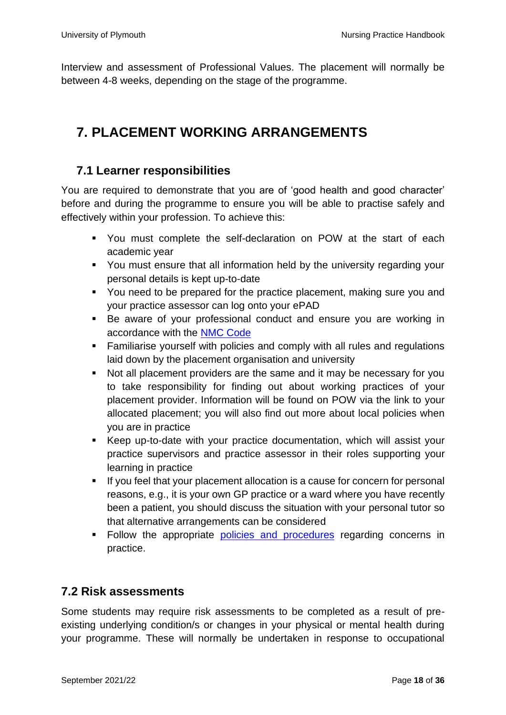Interview and assessment of Professional Values. The placement will normally be between 4-8 weeks, depending on the stage of the programme.

## <span id="page-17-0"></span>**7. PLACEMENT WORKING ARRANGEMENTS**

#### <span id="page-17-1"></span>**7.1 Learner responsibilities**

You are required to demonstrate that you are of 'good health and good character' before and during the programme to ensure you will be able to practise safely and effectively within your profession. To achieve this:

- You must complete the self-declaration on POW at the start of each academic year
- You must ensure that all information held by the university regarding your personal details is kept up-to-date
- You need to be prepared for the practice placement, making sure you and your practice assessor can log onto your ePAD
- Be aware of your professional conduct and ensure you are working in accordance with the [NMC Code](https://www.nmc.org.uk/standards/code/)
- Familiarise yourself with policies and comply with all rules and regulations laid down by the placement organisation and university
- Not all placement providers are the same and it may be necessary for you to take responsibility for finding out about working practices of your placement provider. Information will be found on POW via the link to your allocated placement; you will also find out more about local policies when you are in practice
- Keep up-to-date with your practice documentation, which will assist your practice supervisors and practice assessor in their roles supporting your learning in practice
- If you feel that your placement allocation is a cause for concern for personal reasons, e.g., it is your own GP practice or a ward where you have recently been a patient, you should discuss the situation with your personal tutor so that alternative arrangements can be considered
- **EXECUTE:** Follow the appropriate [policies and procedures](https://www.plymouth.ac.uk/student-life/your-studies/academic-services/poppi/policies-procedures-and-guidelines) regarding concerns in practice.

#### <span id="page-17-2"></span>**7.2 Risk assessments**

Some students may require risk assessments to be completed as a result of preexisting underlying condition/s or changes in your physical or mental health during your programme. These will normally be undertaken in response to occupational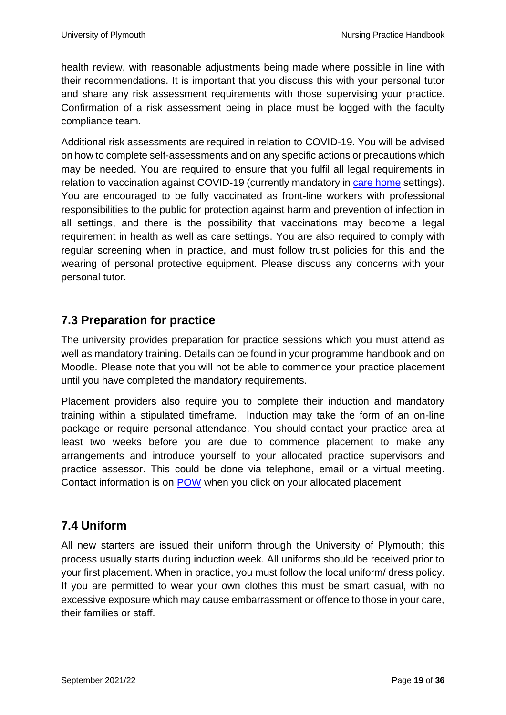health review, with reasonable adjustments being made where possible in line with their recommendations. It is important that you discuss this with your personal tutor and share any risk assessment requirements with those supervising your practice. Confirmation of a risk assessment being in place must be logged with the faculty compliance team.

Additional risk assessments are required in relation to COVID-19. You will be advised on how to complete self-assessments and on any specific actions or precautions which may be needed. You are required to ensure that you fulfil all legal requirements in relation to vaccination against COVID-19 (currently mandatory in [care home](https://www.gov.uk/government/news/everyone-working-in-care-homes-to-be-fully-vaccinated-under-new-law-to-protect-residents) settings). You are encouraged to be fully vaccinated as front-line workers with professional responsibilities to the public for protection against harm and prevention of infection in all settings, and there is the possibility that vaccinations may become a legal requirement in health as well as care settings. You are also required to comply with regular screening when in practice, and must follow trust policies for this and the wearing of personal protective equipment. Please discuss any concerns with your personal tutor.

#### <span id="page-18-0"></span>**7.3 Preparation for practice**

The university provides preparation for practice sessions which you must attend as well as mandatory training. Details can be found in your programme handbook and on Moodle. Please note that you will not be able to commence your practice placement until you have completed the mandatory requirements.

Placement providers also require you to complete their induction and mandatory training within a stipulated timeframe. Induction may take the form of an on-line package or require personal attendance. You should contact your practice area at least two weeks before you are due to commence placement to make any arrangements and introduce yourself to your allocated practice supervisors and practice assessor. This could be done via telephone, email or a virtual meeting. Contact information is on [POW](https://www.plymouth.ac.uk/student-life/your-studies/academic-services/poppi/students/pow) when you click on your allocated placement

#### <span id="page-18-1"></span>**7.4 Uniform**

All new starters are issued their uniform through the University of Plymouth; this process usually starts during induction week. All uniforms should be received prior to your first placement. When in practice, you must follow the local uniform/ dress policy. If you are permitted to wear your own clothes this must be smart casual, with no excessive exposure which may cause embarrassment or offence to those in your care, their families or staff.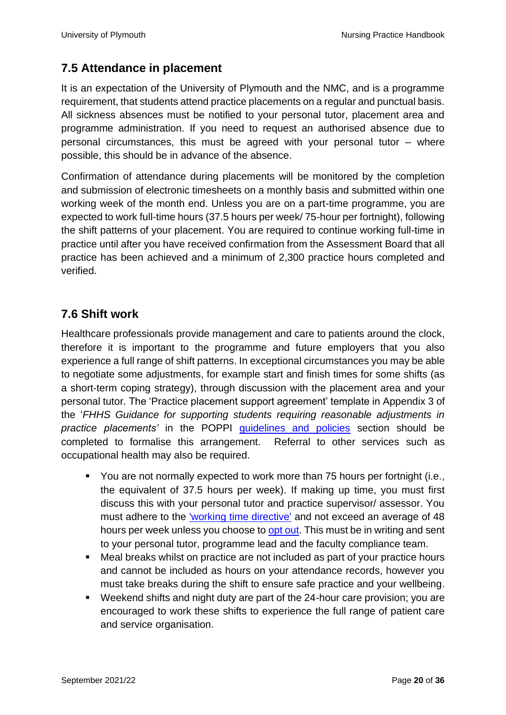#### <span id="page-19-0"></span>**7.5 Attendance in placement**

It is an expectation of the University of Plymouth and the NMC, and is a programme requirement, that students attend practice placements on a regular and punctual basis. All sickness absences must be notified to your personal tutor, placement area and programme administration. If you need to request an authorised absence due to personal circumstances, this must be agreed with your personal tutor – where possible, this should be in advance of the absence.

Confirmation of attendance during placements will be monitored by the completion and submission of electronic timesheets on a monthly basis and submitted within one working week of the month end. Unless you are on a part-time programme, you are expected to work full-time hours (37.5 hours per week/ 75-hour per fortnight), following the shift patterns of your placement. You are required to continue working full-time in practice until after you have received confirmation from the Assessment Board that all practice has been achieved and a minimum of 2,300 practice hours completed and verified.

#### <span id="page-19-1"></span>**7.6 Shift work**

Healthcare professionals provide management and care to patients around the clock, therefore it is important to the programme and future employers that you also experience a full range of shift patterns. In exceptional circumstances you may be able to negotiate some adjustments, for example start and finish times for some shifts (as a short-term coping strategy), through discussion with the placement area and your personal tutor. The 'Practice placement support agreement' template in Appendix 3 of the '*FHHS Guidance for supporting students requiring reasonable adjustments in practice placements'* in the POPPI [guidelines and policies](https://www.plymouth.ac.uk/student-life/your-studies/academic-services/poppi/policies-procedures-and-guidelines) section should be completed to formalise this arrangement. Referral to other services such as occupational health may also be required.

- You are not normally expected to work more than 75 hours per fortnight (i.e., the equivalent of 37.5 hours per week). If making up time, you must first discuss this with your personal tutor and practice supervisor/ assessor. You must adhere to the ['working time directive'](https://www.gov.uk/maximum-weekly-working-hours) and not exceed an average of 48 hours per week unless you choose to [opt out.](https://www.gov.uk/maximum-weekly-working-hours/weekly-maximum-working-hours-and-opting-out) This must be in writing and sent to your personal tutor, programme lead and the faculty compliance team.
- Meal breaks whilst on practice are not included as part of your practice hours and cannot be included as hours on your attendance records, however you must take breaks during the shift to ensure safe practice and your wellbeing.
- Weekend shifts and night duty are part of the 24-hour care provision; you are encouraged to work these shifts to experience the full range of patient care and service organisation.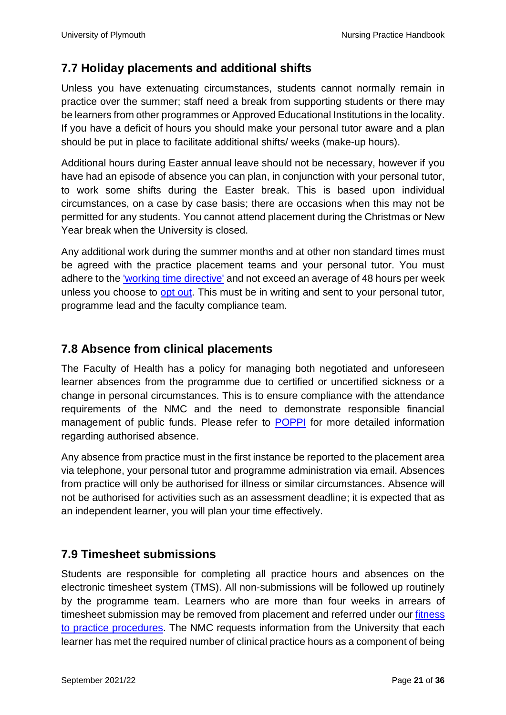#### <span id="page-20-0"></span>**7.7 Holiday placements and additional shifts**

Unless you have extenuating circumstances, students cannot normally remain in practice over the summer; staff need a break from supporting students or there may be learners from other programmes or Approved Educational Institutions in the locality. If you have a deficit of hours you should make your personal tutor aware and a plan should be put in place to facilitate additional shifts/ weeks (make-up hours).

Additional hours during Easter annual leave should not be necessary, however if you have had an episode of absence you can plan, in conjunction with your personal tutor, to work some shifts during the Easter break. This is based upon individual circumstances, on a case by case basis; there are occasions when this may not be permitted for any students. You cannot attend placement during the Christmas or New Year break when the University is closed.

Any additional work during the summer months and at other non standard times must be agreed with the practice placement teams and your personal tutor. You must adhere to the ['working time directive'](https://www.gov.uk/maximum-weekly-working-hours) and not exceed an average of 48 hours per week unless you choose to [opt out.](https://www.gov.uk/maximum-weekly-working-hours/weekly-maximum-working-hours-and-opting-out) This must be in writing and sent to your personal tutor, programme lead and the faculty compliance team.

#### <span id="page-20-1"></span>**7.8 Absence from clinical placements**

The Faculty of Health has a policy for managing both negotiated and unforeseen learner absences from the programme due to certified or uncertified sickness or a change in personal circumstances. This is to ensure compliance with the attendance requirements of the NMC and the need to demonstrate responsible financial management of public funds. Please refer to [POPPI](https://www.plymouth.ac.uk/student-life/your-studies/academic-services/poppi/students) for more detailed information regarding authorised absence.

Any absence from practice must in the first instance be reported to the placement area via telephone, your personal tutor and programme administration via email. Absences from practice will only be authorised for illness or similar circumstances. Absence will not be authorised for activities such as an assessment deadline; it is expected that as an independent learner, you will plan your time effectively.

#### <span id="page-20-2"></span>**7.9 Timesheet submissions**

Students are responsible for completing all practice hours and absences on the electronic timesheet system (TMS). All non-submissions will be followed up routinely by the programme team. Learners who are more than four weeks in arrears of timesheet submission may be removed from placement and referred under our [fitness](https://www.plymouth.ac.uk/student-life/your-studies/academic-services/poppi/policies-procedures-and-guidelines)  to practice [procedures.](https://www.plymouth.ac.uk/student-life/your-studies/academic-services/poppi/policies-procedures-and-guidelines) The NMC requests information from the University that each learner has met the required number of clinical practice hours as a component of being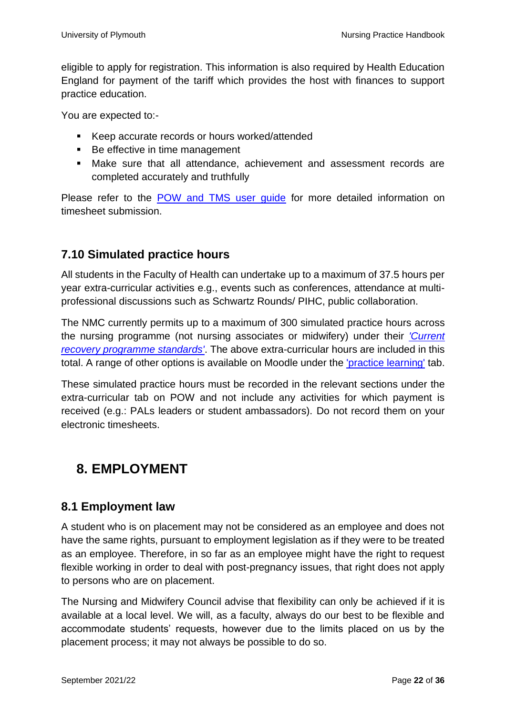eligible to apply for registration. This information is also required by Health Education England for payment of the tariff which provides the host with finances to support practice education.

You are expected to:-

- Keep accurate records or hours worked/attended
- Be effective in time management
- Make sure that all attendance, achievement and assessment records are completed accurately and truthfully

Please refer to the POW and TMS user quide for more detailed information on timesheet submission.

#### <span id="page-21-0"></span>**7.10 Simulated practice hours**

All students in the Faculty of Health can undertake up to a maximum of 37.5 hours per year extra-curricular activities e.g., events such as conferences, attendance at multiprofessional discussions such as Schwartz Rounds/ PIHC, public collaboration.

The NMC currently permits up to a maximum of 300 simulated practice hours across the nursing programme (not nursing associates or midwifery) under their *['Current](https://www.nmc.org.uk/standards-for-education-and-training/emergency-education-standards/)  [recovery programme standards'](https://www.nmc.org.uk/standards-for-education-and-training/emergency-education-standards/)*. The above extra-curricular hours are included in this total. A range of other options is available on Moodle under the '*practice learning'* tab.

These simulated practice hours must be recorded in the relevant sections under the extra-curricular tab on POW and not include any activities for which payment is received (e.g.: PALs leaders or student ambassadors). Do not record them on your electronic timesheets.

## <span id="page-21-1"></span>**8. EMPLOYMENT**

#### <span id="page-21-2"></span>**8.1 Employment law**

A student who is on placement may not be considered as an employee and does not have the same rights, pursuant to employment legislation as if they were to be treated as an employee. Therefore, in so far as an employee might have the right to request flexible working in order to deal with post-pregnancy issues, that right does not apply to persons who are on placement.

The Nursing and Midwifery Council advise that flexibility can only be achieved if it is available at a local level. We will, as a faculty, always do our best to be flexible and accommodate students' requests, however due to the limits placed on us by the placement process; it may not always be possible to do so.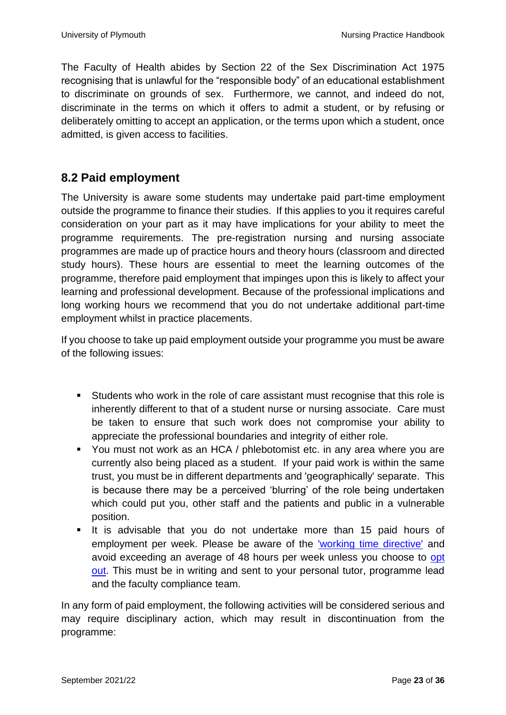The Faculty of Health abides by Section 22 of the Sex Discrimination Act 1975 recognising that is unlawful for the "responsible body" of an educational establishment to discriminate on grounds of sex. Furthermore, we cannot, and indeed do not, discriminate in the terms on which it offers to admit a student, or by refusing or deliberately omitting to accept an application, or the terms upon which a student, once admitted, is given access to facilities.

#### <span id="page-22-0"></span>**8.2 Paid employment**

The University is aware some students may undertake paid part-time employment outside the programme to finance their studies. If this applies to you it requires careful consideration on your part as it may have implications for your ability to meet the programme requirements. The pre-registration nursing and nursing associate programmes are made up of practice hours and theory hours (classroom and directed study hours). These hours are essential to meet the learning outcomes of the programme, therefore paid employment that impinges upon this is likely to affect your learning and professional development. Because of the professional implications and long working hours we recommend that you do not undertake additional part-time employment whilst in practice placements.

If you choose to take up paid employment outside your programme you must be aware of the following issues:

- Students who work in the role of care assistant must recognise that this role is inherently different to that of a student nurse or nursing associate. Care must be taken to ensure that such work does not compromise your ability to appreciate the professional boundaries and integrity of either role.
- You must not work as an HCA / phlebotomist etc. in any area where you are currently also being placed as a student. If your paid work is within the same trust, you must be in different departments and 'geographically' separate. This is because there may be a perceived 'blurring' of the role being undertaken which could put you, other staff and the patients and public in a vulnerable position.
- It is advisable that you do not undertake more than 15 paid hours of employment per week. Please be aware of the ['working time directive'](https://www.gov.uk/maximum-weekly-working-hours) and avoid exceeding an average of 48 hours per week unless you choose to [opt](https://www.gov.uk/maximum-weekly-working-hours/weekly-maximum-working-hours-and-opting-out)  [out.](https://www.gov.uk/maximum-weekly-working-hours/weekly-maximum-working-hours-and-opting-out) This must be in writing and sent to your personal tutor, programme lead and the faculty compliance team.

In any form of paid employment, the following activities will be considered serious and may require disciplinary action, which may result in discontinuation from the programme: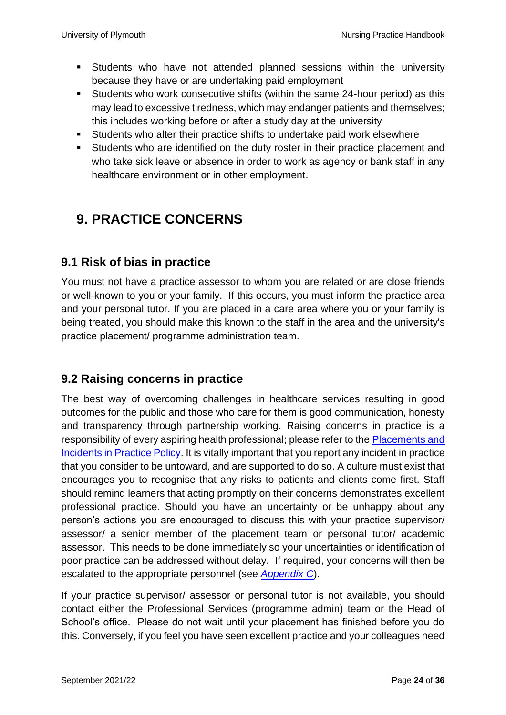- Students who have not attended planned sessions within the university because they have or are undertaking paid employment
- Students who work consecutive shifts (within the same 24-hour period) as this may lead to excessive tiredness, which may endanger patients and themselves; this includes working before or after a study day at the university
- Students who alter their practice shifts to undertake paid work elsewhere
- Students who are identified on the duty roster in their practice placement and who take sick leave or absence in order to work as agency or bank staff in any healthcare environment or in other employment.

## <span id="page-23-0"></span>**9. PRACTICE CONCERNS**

#### <span id="page-23-1"></span>**9.1 Risk of bias in practice**

You must not have a practice assessor to whom you are related or are close friends or well-known to you or your family. If this occurs, you must inform the practice area and your personal tutor. If you are placed in a care area where you or your family is being treated, you should make this known to the staff in the area and the university's practice placement/ programme administration team.

#### <span id="page-23-2"></span>**9.2 Raising concerns in practice**

The best way of overcoming challenges in healthcare services resulting in good outcomes for the public and those who care for them is good communication, honesty and transparency through partnership working. Raising concerns in practice is a responsibility of every aspiring health professional; please refer to the [Placements and](https://www.plymouth.ac.uk/student-life/your-studies/academic-services/poppi/policies-procedures-and-guidelines)  [Incidents in Practice](https://www.plymouth.ac.uk/student-life/your-studies/academic-services/poppi/policies-procedures-and-guidelines) Policy. It is vitally important that you report any incident in practice that you consider to be untoward, and are supported to do so. A culture must exist that encourages you to recognise that any risks to patients and clients come first. Staff should remind learners that acting promptly on their concerns demonstrates excellent professional practice. Should you have an uncertainty or be unhappy about any person's actions you are encouraged to discuss this with your practice supervisor/ assessor/ a senior member of the placement team or personal tutor/ academic assessor. This needs to be done immediately so your uncertainties or identification of poor practice can be addressed without delay. If required, your concerns will then be escalated to the appropriate personnel (see *[Appendix C](#page-32-0)*).

If your practice supervisor/ assessor or personal tutor is not available, you should contact either the Professional Services (programme admin) team or the Head of School's office. Please do not wait until your placement has finished before you do this. Conversely, if you feel you have seen excellent practice and your colleagues need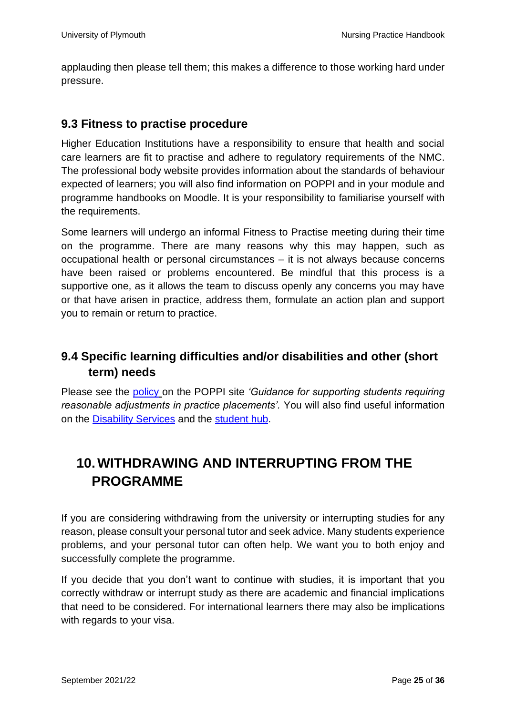applauding then please tell them; this makes a difference to those working hard under pressure.

#### <span id="page-24-0"></span>**9.3 Fitness to practise procedure**

Higher Education Institutions have a responsibility to ensure that health and social care learners are fit to practise and adhere to regulatory requirements of the NMC. The professional body website provides information about the standards of behaviour expected of learners; you will also find information on POPPI and in your module and programme handbooks on Moodle. It is your responsibility to familiarise yourself with the requirements.

Some learners will undergo an informal Fitness to Practise meeting during their time on the programme. There are many reasons why this may happen, such as occupational health or personal circumstances – it is not always because concerns have been raised or problems encountered. Be mindful that this process is a supportive one, as it allows the team to discuss openly any concerns you may have or that have arisen in practice, address them, formulate an action plan and support you to remain or return to practice.

#### <span id="page-24-1"></span>**9.4 Specific learning difficulties and/or disabilities and other (short term) needs**

Please see the [policy](https://www.plymouth.ac.uk/student-life/your-studies/academic-services/poppi/policies-procedures-and-guidelines) on the POPPI site *'Guidance for supporting students requiring reasonable adjustments in practice placements'.* You will also find useful information on the [Disability Services](https://www.plymouth.ac.uk/student-life/services/student-services/disability-and-dyslexia) and the [student hub.](https://www.plymouth.ac.uk/student-life/services)

## <span id="page-24-2"></span>**10.WITHDRAWING AND INTERRUPTING FROM THE PROGRAMME**

If you are considering withdrawing from the university or interrupting studies for any reason, please consult your personal tutor and seek advice. Many students experience problems, and your personal tutor can often help. We want you to both enjoy and successfully complete the programme.

If you decide that you don't want to continue with studies, it is important that you correctly withdraw or interrupt study as there are academic and financial implications that need to be considered. For international learners there may also be implications with regards to your visa.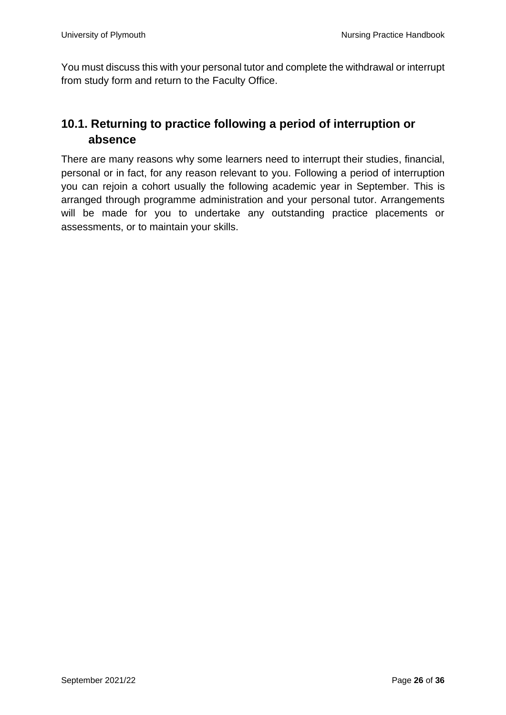You must discuss this with your personal tutor and complete the withdrawal or interrupt from study form and return to the Faculty Office.

#### <span id="page-25-0"></span>**10.1. Returning to practice following a period of interruption or absence**

There are many reasons why some learners need to interrupt their studies, financial, personal or in fact, for any reason relevant to you. Following a period of interruption you can rejoin a cohort usually the following academic year in September. This is arranged through programme administration and your personal tutor. Arrangements will be made for you to undertake any outstanding practice placements or assessments, or to maintain your skills.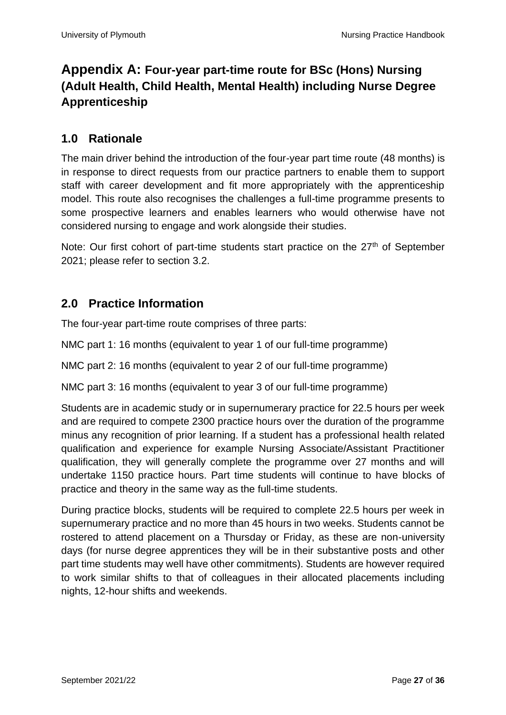### <span id="page-26-0"></span>**Appendix A: Four-year part-time route for BSc (Hons) Nursing (Adult Health, Child Health, Mental Health) including Nurse Degree Apprenticeship**

#### <span id="page-26-1"></span>**1.0 Rationale**

The main driver behind the introduction of the four-year part time route (48 months) is in response to direct requests from our practice partners to enable them to support staff with career development and fit more appropriately with the apprenticeship model. This route also recognises the challenges a full-time programme presents to some prospective learners and enables learners who would otherwise have not considered nursing to engage and work alongside their studies.

Note: Our first cohort of part-time students start practice on the 27<sup>th</sup> of September 2021; please refer to section 3.2.

#### <span id="page-26-2"></span>**2.0 Practice Information**

The four-year part-time route comprises of three parts:

NMC part 1: 16 months (equivalent to year 1 of our full-time programme)

NMC part 2: 16 months (equivalent to year 2 of our full-time programme)

NMC part 3: 16 months (equivalent to year 3 of our full-time programme)

Students are in academic study or in supernumerary practice for 22.5 hours per week and are required to compete 2300 practice hours over the duration of the programme minus any recognition of prior learning. If a student has a professional health related qualification and experience for example Nursing Associate/Assistant Practitioner qualification, they will generally complete the programme over 27 months and will undertake 1150 practice hours. Part time students will continue to have blocks of practice and theory in the same way as the full-time students.

During practice blocks, students will be required to complete 22.5 hours per week in supernumerary practice and no more than 45 hours in two weeks. Students cannot be rostered to attend placement on a Thursday or Friday, as these are non-university days (for nurse degree apprentices they will be in their substantive posts and other part time students may well have other commitments). Students are however required to work similar shifts to that of colleagues in their allocated placements including nights, 12-hour shifts and weekends.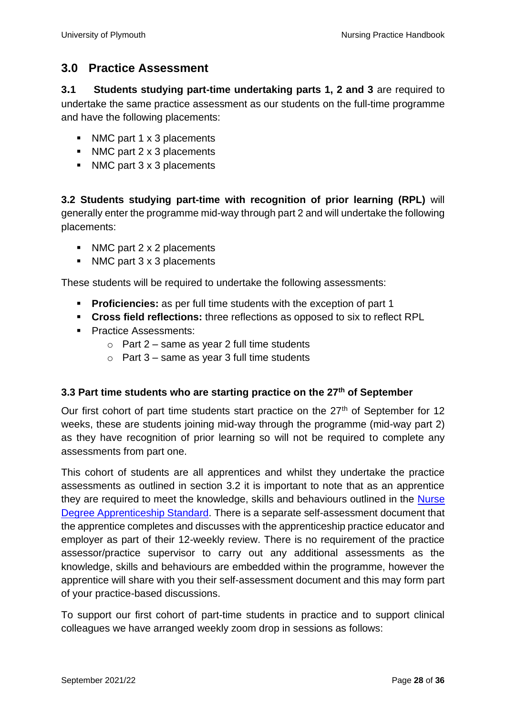#### <span id="page-27-0"></span>**3.0 Practice Assessment**

<span id="page-27-1"></span>**3.1 Students studying part-time undertaking parts 1, 2 and 3** are required to undertake the same practice assessment as our students on the full-time programme and have the following placements:

- NMC part 1 x 3 placements
- NMC part 2 x 3 placements
- NMC part 3 x 3 placements

<span id="page-27-2"></span>**3.2 Students studying part-time with recognition of prior learning (RPL)** will generally enter the programme mid-way through part 2 and will undertake the following placements:

- NMC part 2 x 2 placements
- NMC part 3 x 3 placements

These students will be required to undertake the following assessments:

- **Proficiencies:** as per full time students with the exception of part 1
- **Cross field reflections:** three reflections as opposed to six to reflect RPL
- Practice Assessments:
	- $\circ$  Part 2 same as year 2 full time students
	- $\circ$  Part 3 same as year 3 full time students

#### <span id="page-27-3"></span>**3.3 Part time students who are starting practice on the 27th of September**

Our first cohort of part time students start practice on the  $27<sup>th</sup>$  of September for 12 weeks, these are students joining mid-way through the programme (mid-way part 2) as they have recognition of prior learning so will not be required to complete any assessments from part one.

This cohort of students are all apprentices and whilst they undertake the practice assessments as outlined in section 3.2 it is important to note that as an apprentice they are required to meet the knowledge, skills and behaviours outlined in the [Nurse](https://www.instituteforapprenticeships.org/apprenticeship-standards/registered-nurse-degree-(nmc-2018)-v1-1)  [Degree Apprenticeship Standard.](https://www.instituteforapprenticeships.org/apprenticeship-standards/registered-nurse-degree-(nmc-2018)-v1-1) There is a separate self-assessment document that the apprentice completes and discusses with the apprenticeship practice educator and employer as part of their 12-weekly review. There is no requirement of the practice assessor/practice supervisor to carry out any additional assessments as the knowledge, skills and behaviours are embedded within the programme, however the apprentice will share with you their self-assessment document and this may form part of your practice-based discussions.

To support our first cohort of part-time students in practice and to support clinical colleagues we have arranged weekly zoom drop in sessions as follows: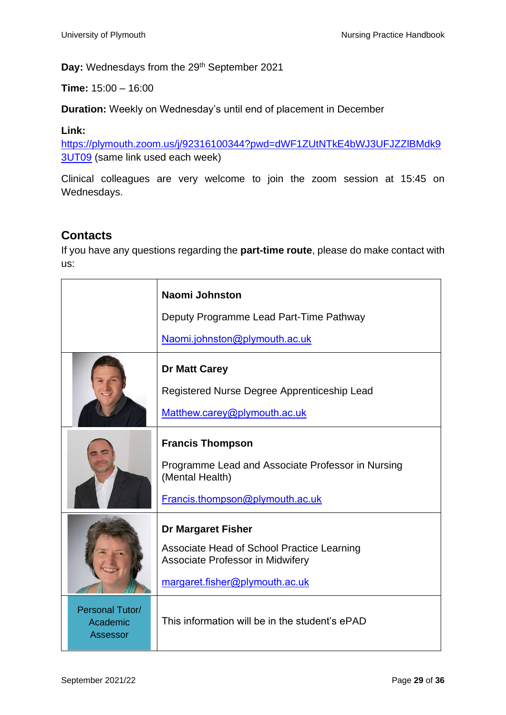Day: Wednesdays from the 29<sup>th</sup> September 2021

**Time:** 15:00 – 16:00

**Duration:** Weekly on Wednesday's until end of placement in December

#### **Link:**

[https://plymouth.zoom.us/j/92316100344?pwd=dWF1ZUtNTkE4bWJ3UFJZZlBMdk9](https://plymouth.zoom.us/j/92316100344?pwd=dWF1ZUtNTkE4bWJ3UFJZZlBMdk93UT09) [3UT09](https://plymouth.zoom.us/j/92316100344?pwd=dWF1ZUtNTkE4bWJ3UFJZZlBMdk93UT09) (same link used each week)

Clinical colleagues are very welcome to join the zoom session at 15:45 on Wednesdays.

#### <span id="page-28-0"></span>**Contacts**

If you have any questions regarding the **part-time route**, please do make contact with us:

|                                                | <b>Naomi Johnston</b>                                                                                                                         |  |  |
|------------------------------------------------|-----------------------------------------------------------------------------------------------------------------------------------------------|--|--|
|                                                | Deputy Programme Lead Part-Time Pathway                                                                                                       |  |  |
|                                                | Naomi.johnston@plymouth.ac.uk                                                                                                                 |  |  |
|                                                | <b>Dr Matt Carey</b><br>Registered Nurse Degree Apprenticeship Lead<br>Matthew.carey@plymouth.ac.uk                                           |  |  |
|                                                | <b>Francis Thompson</b><br>Programme Lead and Associate Professor in Nursing<br>(Mental Health)<br>Francis.thompson@plymouth.ac.uk            |  |  |
|                                                | <b>Dr Margaret Fisher</b><br>Associate Head of School Practice Learning<br>Associate Professor in Midwifery<br>margaret.fisher@plymouth.ac.uk |  |  |
| Personal Tutor/<br>Academic<br><b>Assessor</b> | This information will be in the student's ePAD                                                                                                |  |  |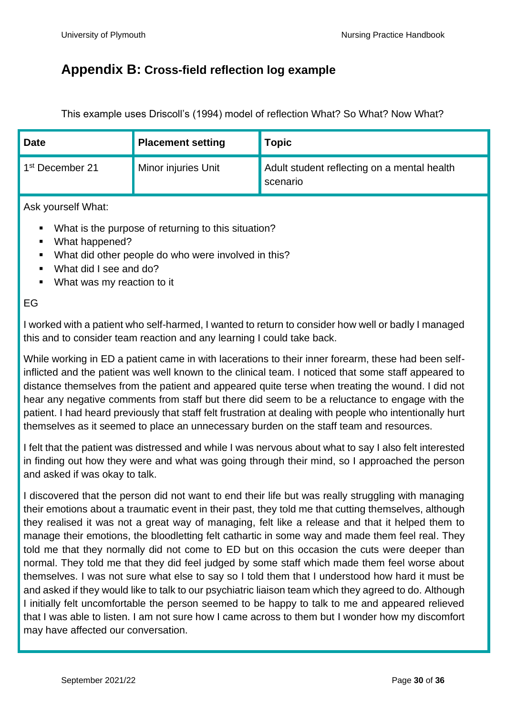#### <span id="page-29-0"></span>**Appendix B: Cross-field reflection log example**

This example uses Driscoll's (1994) model of reflection What? So What? Now What?

| <b>Date</b>                 | <b>Placement setting</b> | <b>Topic</b>                                                   |
|-----------------------------|--------------------------|----------------------------------------------------------------|
| 1 <sup>st</sup> December 21 | Minor injuries Unit      | Adult student reflecting on a mental health<br><b>Scenario</b> |

Ask yourself What:

- What is the purpose of returning to this situation?
- What happened?
- What did other people do who were involved in this?
- What did I see and do?
- What was my reaction to it

#### EG

I worked with a patient who self-harmed, I wanted to return to consider how well or badly I managed this and to consider team reaction and any learning I could take back.

While working in ED a patient came in with lacerations to their inner forearm, these had been selfinflicted and the patient was well known to the clinical team. I noticed that some staff appeared to distance themselves from the patient and appeared quite terse when treating the wound. I did not hear any negative comments from staff but there did seem to be a reluctance to engage with the patient. I had heard previously that staff felt frustration at dealing with people who intentionally hurt themselves as it seemed to place an unnecessary burden on the staff team and resources.

I felt that the patient was distressed and while I was nervous about what to say I also felt interested in finding out how they were and what was going through their mind, so I approached the person and asked if was okay to talk.

I discovered that the person did not want to end their life but was really struggling with managing their emotions about a traumatic event in their past, they told me that cutting themselves, although they realised it was not a great way of managing, felt like a release and that it helped them to manage their emotions, the bloodletting felt cathartic in some way and made them feel real. They told me that they normally did not come to ED but on this occasion the cuts were deeper than normal. They told me that they did feel judged by some staff which made them feel worse about themselves. I was not sure what else to say so I told them that I understood how hard it must be and asked if they would like to talk to our psychiatric liaison team which they agreed to do. Although I initially felt uncomfortable the person seemed to be happy to talk to me and appeared relieved that I was able to listen. I am not sure how I came across to them but I wonder how my discomfort may have affected our conversation.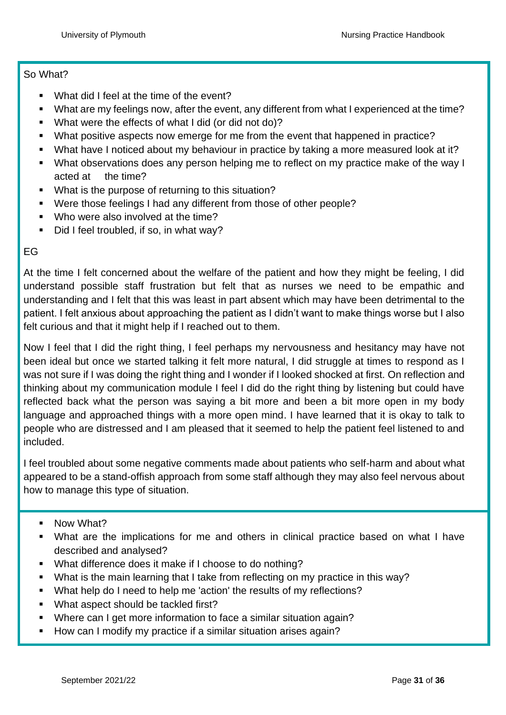#### So What?

- What did I feel at the time of the event?
- What are my feelings now, after the event, any different from what I experienced at the time?
- What were the effects of what I did (or did not do)?
- What positive aspects now emerge for me from the event that happened in practice?
- What have I noticed about my behaviour in practice by taking a more measured look at it?
- What observations does any person helping me to reflect on my practice make of the way I acted at the time?
- What is the purpose of returning to this situation?
- Were those feelings I had any different from those of other people?
- Who were also involved at the time?
- Did I feel troubled, if so, in what way?

#### EG

At the time I felt concerned about the welfare of the patient and how they might be feeling, I did understand possible staff frustration but felt that as nurses we need to be empathic and understanding and I felt that this was least in part absent which may have been detrimental to the patient. I felt anxious about approaching the patient as I didn't want to make things worse but I also felt curious and that it might help if I reached out to them.

Now I feel that I did the right thing, I feel perhaps my nervousness and hesitancy may have not been ideal but once we started talking it felt more natural, I did struggle at times to respond as I was not sure if I was doing the right thing and I wonder if I looked shocked at first. On reflection and thinking about my communication module I feel I did do the right thing by listening but could have reflected back what the person was saying a bit more and been a bit more open in my body language and approached things with a more open mind. I have learned that it is okay to talk to people who are distressed and I am pleased that it seemed to help the patient feel listened to and included.

I feel troubled about some negative comments made about patients who self-harm and about what appeared to be a stand-offish approach from some staff although they may also feel nervous about how to manage this type of situation.

- Now What?
- What are the implications for me and others in clinical practice based on what I have described and analysed?
- What difference does it make if I choose to do nothing?
- What is the main learning that I take from reflecting on my practice in this way?
- What help do I need to help me 'action' the results of my reflections?
- What aspect should be tackled first?
- Where can I get more information to face a similar situation again?
- How can I modify my practice if a similar situation arises again?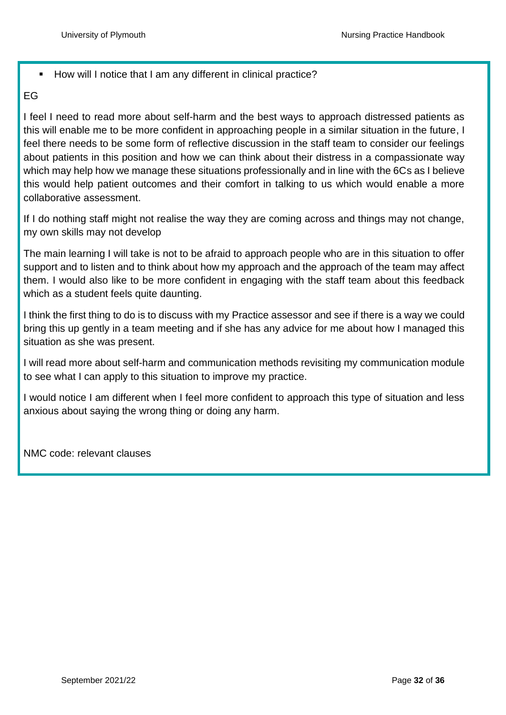#### ■ How will I notice that I am any different in clinical practice?

#### EG

I feel I need to read more about self-harm and the best ways to approach distressed patients as this will enable me to be more confident in approaching people in a similar situation in the future, I feel there needs to be some form of reflective discussion in the staff team to consider our feelings about patients in this position and how we can think about their distress in a compassionate way which may help how we manage these situations professionally and in line with the 6Cs as I believe this would help patient outcomes and their comfort in talking to us which would enable a more collaborative assessment.

If I do nothing staff might not realise the way they are coming across and things may not change, my own skills may not develop

The main learning I will take is not to be afraid to approach people who are in this situation to offer support and to listen and to think about how my approach and the approach of the team may affect them. I would also like to be more confident in engaging with the staff team about this feedback which as a student feels quite daunting.

I think the first thing to do is to discuss with my Practice assessor and see if there is a way we could bring this up gently in a team meeting and if she has any advice for me about how I managed this situation as she was present.

I will read more about self-harm and communication methods revisiting my communication module to see what I can apply to this situation to improve my practice.

I would notice I am different when I feel more confident to approach this type of situation and less anxious about saying the wrong thing or doing any harm.

<span id="page-31-0"></span>NMC code: relevant clauses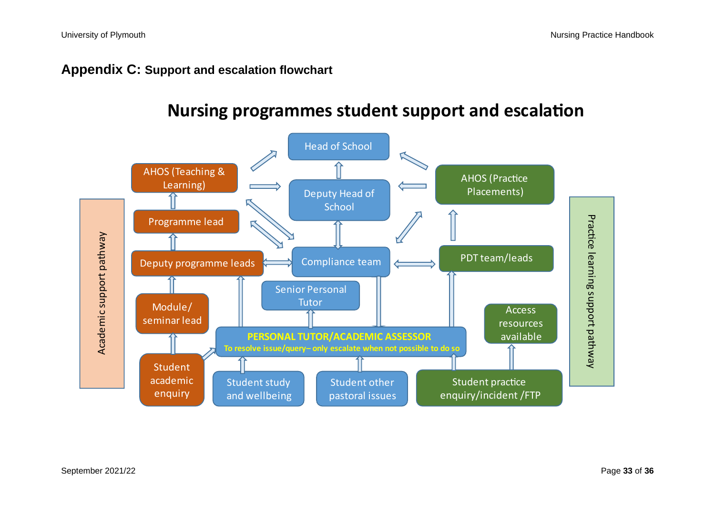#### **Appendix C: Support and escalation flowchart**

<span id="page-32-0"></span>

## **Nursing programmes student support and escalation**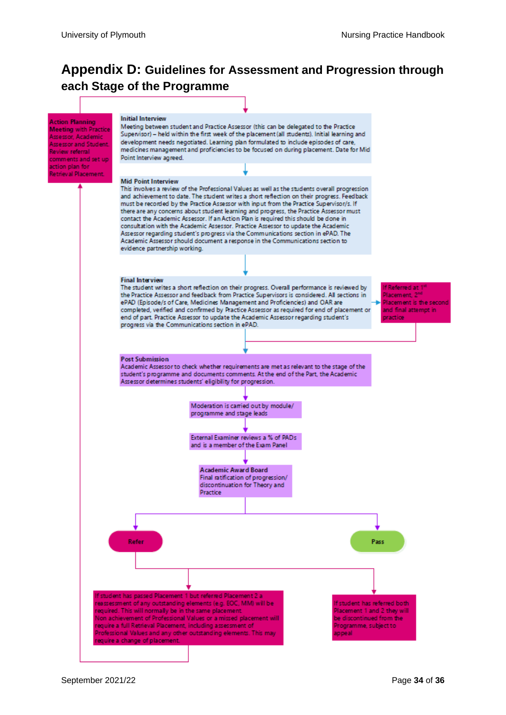#### <span id="page-33-0"></span>**Appendix D: Guidelines for Assessment and Progression through each Stage of the Programme**

<span id="page-33-1"></span>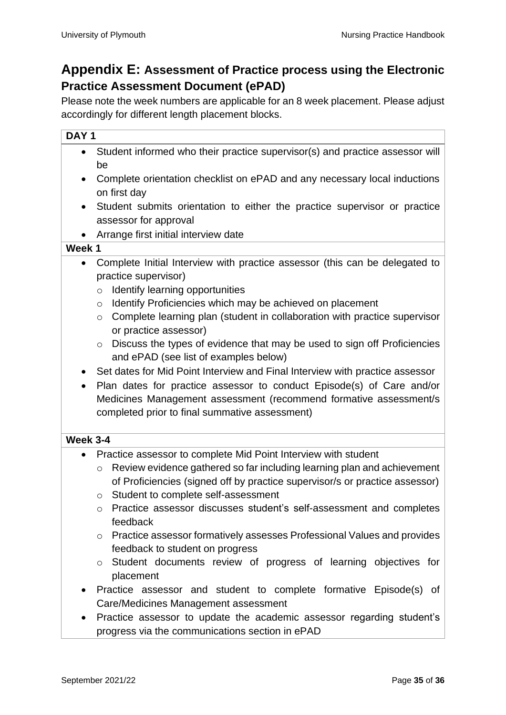#### <span id="page-34-0"></span>**Appendix E: Assessment of Practice process using the Electronic Practice Assessment Document (ePAD)**

Please note the week numbers are applicable for an 8 week placement. Please adjust accordingly for different length placement blocks.

#### **DAY 1**

- Student informed who their practice supervisor(s) and practice assessor will be
- Complete orientation checklist on ePAD and any necessary local inductions on first day
- Student submits orientation to either the practice supervisor or practice assessor for approval
- Arrange first initial interview date

#### **Week 1**

- Complete Initial Interview with practice assessor (this can be delegated to practice supervisor)
	- $\circ$  Identify learning opportunities
	- o Identify Proficiencies which may be achieved on placement
	- o Complete learning plan (student in collaboration with practice supervisor or practice assessor)
	- o Discuss the types of evidence that may be used to sign off Proficiencies and ePAD (see list of examples below)
- Set dates for Mid Point Interview and Final Interview with practice assessor
- Plan dates for practice assessor to conduct Episode(s) of Care and/or Medicines Management assessment (recommend formative assessment/s completed prior to final summative assessment)

#### **Week 3-4**

- Practice assessor to complete Mid Point Interview with student
	- o Review evidence gathered so far including learning plan and achievement of Proficiencies (signed off by practice supervisor/s or practice assessor)
	- o Student to complete self-assessment
	- o Practice assessor discusses student's self-assessment and completes feedback
	- o Practice assessor formatively assesses Professional Values and provides feedback to student on progress
	- o Student documents review of progress of learning objectives for placement
- Practice assessor and student to complete formative Episode(s) of Care/Medicines Management assessment
- Practice assessor to update the academic assessor regarding student's progress via the communications section in ePAD